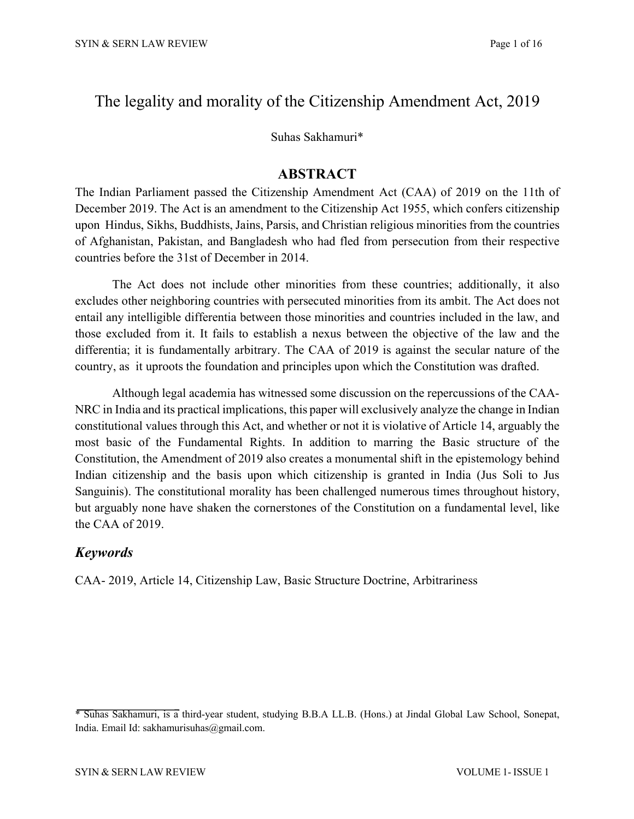# The legality and morality of the Citizenship Amendment Act, 2019

Suhas Sakhamuri\*

## **ABSTRACT**

The Indian Parliament passed the Citizenship Amendment Act (CAA) of 2019 on the 11th of December 2019. The Act is an amendment to the Citizenship Act 1955, which confers citizenship upon Hindus, Sikhs, Buddhists, Jains, Parsis, and Christian religious minorities from the countries of Afghanistan, Pakistan, and Bangladesh who had fled from persecution from their respective countries before the 31st of December in 2014.

The Act does not include other minorities from these countries; additionally, it also excludes other neighboring countries with persecuted minorities from its ambit. The Act does not entail any intelligible differentia between those minorities and countries included in the law, and those excluded from it. It fails to establish a nexus between the objective of the law and the differentia; it is fundamentally arbitrary. The CAA of 2019 is against the secular nature of the country, as it uproots the foundation and principles upon which the Constitution was drafted.

Although legal academia has witnessed some discussion on the repercussions of the CAA-NRC in India and its practical implications, this paper will exclusively analyze the change in Indian constitutional values through this Act, and whether or not it is violative of Article 14, arguably the most basic of the Fundamental Rights. In addition to marring the Basic structure of the Constitution, the Amendment of 2019 also creates a monumental shift in the epistemology behind Indian citizenship and the basis upon which citizenship is granted in India (Jus Soli to Jus Sanguinis). The constitutional morality has been challenged numerous times throughout history, but arguably none have shaken the cornerstones of the Constitution on a fundamental level, like the CAA of 2019.

# *Keywords*

CAA- 2019, Article 14, Citizenship Law, Basic Structure Doctrine, Arbitrariness

<sup>\*</sup> Suhas Sakhamuri, is a third-year student, studying B.B.A LL.B. (Hons.) at Jindal Global Law School, Sonepat, India. Email Id: sakhamurisuhas@gmail.com.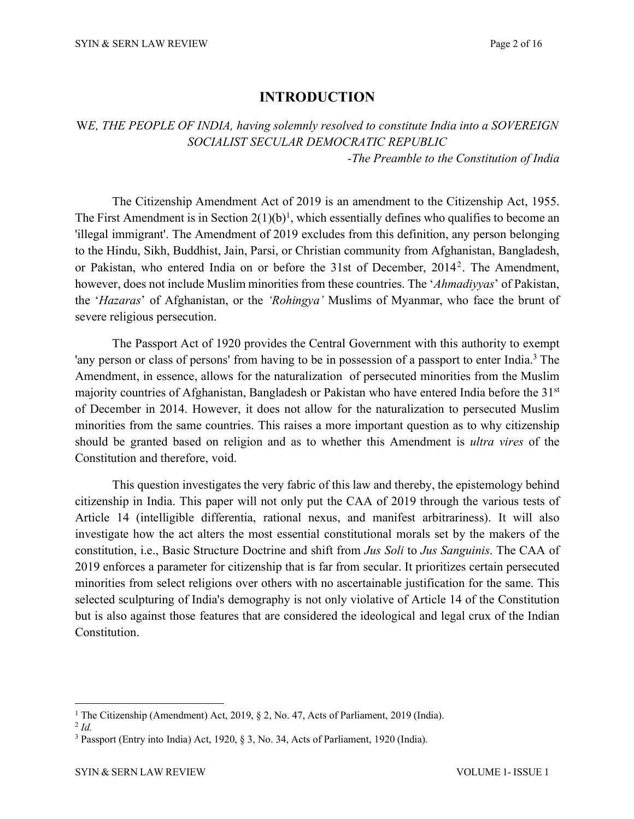# **INTRODUCTION**

W*E, THE PEOPLE OF INDIA, having solemnly resolved to constitute India into a SOVEREIGN SOCIALIST SECULAR DEMOCRATIC REPUBLIC*

*-The Preamble to the Constitution of India*

The Citizenship Amendment Act of 2019 is an amendment to the Citizenship Act, 1955. The First Amendment is in Section  $2(1)(b)^1$ , which essentially defines who qualifies to become an 'illegal immigrant'. The Amendment of 2019 excludes from this definition, any person belonging to the Hindu, Sikh, Buddhist, Jain, Parsi, or Christian community from Afghanistan, Bangladesh, or Pakistan, who entered India on or before the 31st of December, 20142. The Amendment, however, does not include Muslim minorities from these countries. The '*Ahmadiyyas*' of Pakistan, the '*Hazaras*' of Afghanistan, or the *'Rohingya'* Muslims of Myanmar, who face the brunt of severe religious persecution.

The Passport Act of 1920 provides the Central Government with this authority to exempt 'any person or class of persons' from having to be in possession of a passport to enter India.<sup>3</sup> The Amendment, in essence, allows for the naturalization of persecuted minorities from the Muslim majority countries of Afghanistan, Bangladesh or Pakistan who have entered India before the 31st of December in 2014. However, it does not allow for the naturalization to persecuted Muslim minorities from the same countries. This raises a more important question as to why citizenship should be granted based on religion and as to whether this Amendment is *ultra vires* of the Constitution and therefore, void.

This question investigates the very fabric of this law and thereby, the epistemology behind citizenship in India. This paper will not only put the CAA of 2019 through the various tests of Article 14 (intelligible differentia, rational nexus, and manifest arbitrariness). It will also investigate how the act alters the most essential constitutional morals set by the makers of the constitution, i.e., Basic Structure Doctrine and shift from *Jus Soli* to *Jus Sanguinis*. The CAA of 2019 enforces a parameter for citizenship that is far from secular. It prioritizes certain persecuted minorities from select religions over others with no ascertainable justification for the same. This selected sculpturing of India's demography is not only violative of Article 14 of the Constitution but is also against those features that are considered the ideological and legal crux of the Indian Constitution.

<sup>&</sup>lt;sup>1</sup> The Citizenship (Amendment) Act, 2019, § 2, No. 47, Acts of Parliament, 2019 (India).

<sup>2</sup> *Id.*

<sup>3</sup> Passport (Entry into India) Act, 1920, § 3, No. 34, Acts of Parliament, 1920 (India).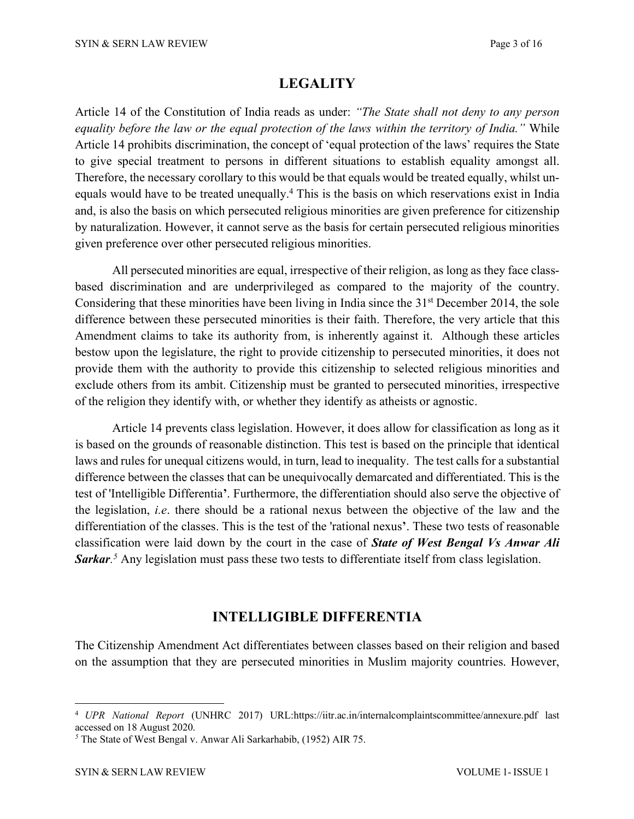## **LEGALITY**

Article 14 of the Constitution of India reads as under: *"The State shall not deny to any person equality before the law or the equal protection of the laws within the territory of India."* While Article 14 prohibits discrimination, the concept of 'equal protection of the laws' requires the State to give special treatment to persons in different situations to establish equality amongst all. Therefore, the necessary corollary to this would be that equals would be treated equally, whilst unequals would have to be treated unequally.4 This is the basis on which reservations exist in India and, is also the basis on which persecuted religious minorities are given preference for citizenship by naturalization. However, it cannot serve as the basis for certain persecuted religious minorities given preference over other persecuted religious minorities.

All persecuted minorities are equal, irrespective of their religion, as long as they face classbased discrimination and are underprivileged as compared to the majority of the country. Considering that these minorities have been living in India since the 31<sup>st</sup> December 2014, the sole difference between these persecuted minorities is their faith. Therefore, the very article that this Amendment claims to take its authority from, is inherently against it. Although these articles bestow upon the legislature, the right to provide citizenship to persecuted minorities, it does not provide them with the authority to provide this citizenship to selected religious minorities and exclude others from its ambit. Citizenship must be granted to persecuted minorities, irrespective of the religion they identify with, or whether they identify as atheists or agnostic.

Article 14 prevents class legislation. However, it does allow for classification as long as it is based on the grounds of reasonable distinction. This test is based on the principle that identical laws and rules for unequal citizens would, in turn, lead to inequality. The test calls for a substantial difference between the classes that can be unequivocally demarcated and differentiated. This is the test of 'Intelligible Differentia**'**. Furthermore, the differentiation should also serve the objective of the legislation, *i.e*. there should be a rational nexus between the objective of the law and the differentiation of the classes. This is the test of the 'rational nexus**'**. These two tests of reasonable classification were laid down by the court in the case of *State of West Bengal Vs Anwar Ali Sarkar. <sup>5</sup>* Any legislation must pass these two tests to differentiate itself from class legislation.

## **INTELLIGIBLE DIFFERENTIA**

The Citizenship Amendment Act differentiates between classes based on their religion and based on the assumption that they are persecuted minorities in Muslim majority countries. However,

<sup>4</sup> *UPR National Report* (UNHRC 2017) URL:https://iitr.ac.in/internalcomplaintscommittee/annexure.pdf last accessed on 18 August 2020.

*<sup>5</sup>* The State of West Bengal v. Anwar Ali Sarkarhabib, (1952) AIR 75.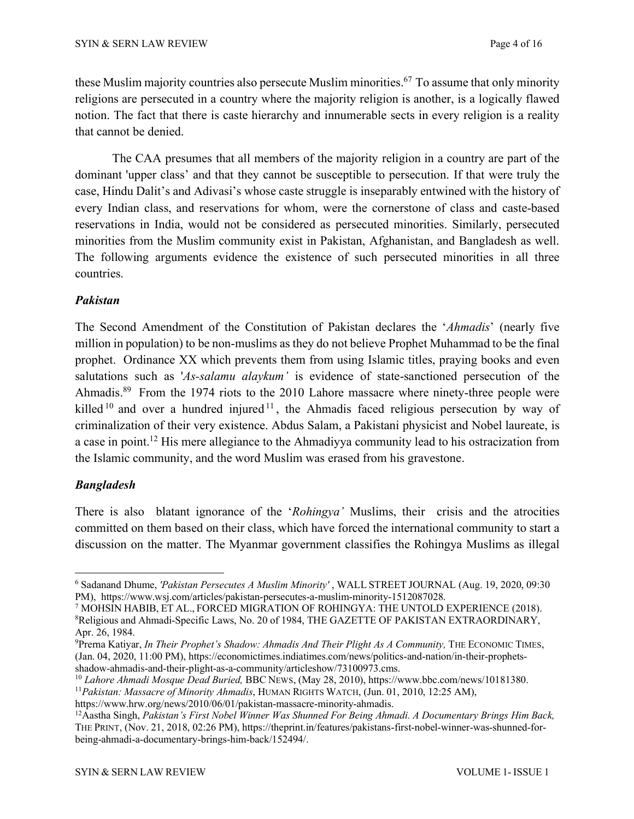these Muslim majority countries also persecute Muslim minorities. <sup>67</sup> To assume that only minority religions are persecuted in a country where the majority religion is another, is a logically flawed notion. The fact that there is caste hierarchy and innumerable sects in every religion is a reality that cannot be denied.

The CAA presumes that all members of the majority religion in a country are part of the dominant 'upper class' and that they cannot be susceptible to persecution. If that were truly the case, Hindu Dalit's and Adivasi's whose caste struggle is inseparably entwined with the history of every Indian class, and reservations for whom, were the cornerstone of class and caste-based reservations in India, would not be considered as persecuted minorities. Similarly, persecuted minorities from the Muslim community exist in Pakistan, Afghanistan, and Bangladesh as well. The following arguments evidence the existence of such persecuted minorities in all three countries.

### *Pakistan*

The Second Amendment of the Constitution of Pakistan declares the '*Ahmadis*' (nearly five million in population) to be non-muslims as they do not believe Prophet Muhammad to be the final prophet. Ordinance XX which prevents them from using Islamic titles, praying books and even salutations such as '*As-salamu alaykum'* is evidence of state-sanctioned persecution of the Ahmadis.89 From the 1974 riots to the 2010 Lahore massacre where ninety-three people were killed  $10$  and over a hundred injured  $11$ , the Ahmadis faced religious persecution by way of criminalization of their very existence. Abdus Salam, a Pakistani physicist and Nobel laureate, is a case in point.12 His mere allegiance to the Ahmadiyya community lead to his ostracization from the Islamic community, and the word Muslim was erased from his gravestone.

#### *Bangladesh*

There is also blatant ignorance of the '*Rohingya'* Muslims, their crisis and the atrocities committed on them based on their class, which have forced the international community to start a discussion on the matter. The Myanmar government classifies the Rohingya Muslims as illegal

<sup>6</sup> Sadanand Dhume, *'Pakistan Persecutes A Muslim Minority'* , WALL STREET JOURNAL (Aug. 19, 2020, 09:30 PM), https://www.wsj.com/articles/pakistan-persecutes-a-muslim-minority-1512087028.

<sup>7</sup> MOHSIN HABIB, ET AL., FORCED MIGRATION OF ROHINGYA: THE UNTOLD EXPERIENCE (2018). <sup>8</sup>Religious and Ahmadi-Specific Laws, No. 20 of 1984, THE GAZETTE OF PAKISTAN EXTRAORDINARY, Apr. 26, 1984.

<sup>9</sup> Prerna Katiyar, *In Their Prophet's Shadow: Ahmadis And Their Plight As A Community,* THE ECONOMIC TIMES, (Jan. 04, 2020, 11:00 PM), https://economictimes.indiatimes.com/news/politics-and-nation/in-their-prophetsshadow-ahmadis-and-their-plight-as-a-community/articleshow/73100973.cms.

<sup>&</sup>lt;sup>10</sup> Lahore Ahmadi Mosque Dead Buried, BBC NEWS, (May 28, 2010), https://www.bbc.com/news/10181380.<br><sup>11</sup> Pakistan: Massacre of Minority Ahmadis, HUMAN RIGHTS WATCH, (Jun. 01, 2010, 12:25 AM),

https://www.hrw.org/news/2010/06/01/pakistan-massacre-minority-ahmadis.

<sup>12</sup>Aastha Singh, *Pakistan's First Nobel Winner Was Shunned For Being Ahmadi. A Documentary Brings Him Back,* THE PRINT, (Nov. 21, 2018, 02:26 PM), https://theprint.in/features/pakistans-first-nobel-winner-was-shunned-forbeing-ahmadi-a-documentary-brings-him-back/152494/.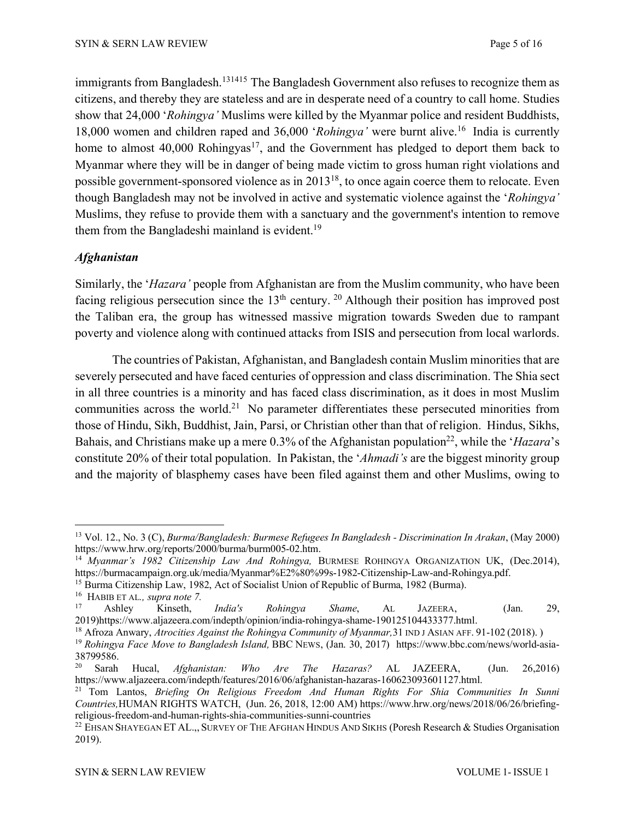immigrants from Bangladesh.<sup>131415</sup> The Bangladesh Government also refuses to recognize them as citizens, and thereby they are stateless and are in desperate need of a country to call home. Studies show that 24,000 '*Rohingya'* Muslims were killed by the Myanmar police and resident Buddhists, 18,000 women and children raped and 36,000 '*Rohingya'* were burnt alive.16 India is currently home to almost 40,000 Rohingyas<sup>17</sup>, and the Government has pledged to deport them back to Myanmar where they will be in danger of being made victim to gross human right violations and possible government-sponsored violence as in 201318, to once again coerce them to relocate. Even though Bangladesh may not be involved in active and systematic violence against the '*Rohingya'* Muslims, they refuse to provide them with a sanctuary and the government's intention to remove them from the Bangladeshi mainland is evident.<sup>19</sup>

### *Afghanistan*

Similarly, the '*Hazara'* people from Afghanistan are from the Muslim community, who have been facing religious persecution since the  $13<sup>th</sup>$  century. <sup>20</sup> Although their position has improved post the Taliban era, the group has witnessed massive migration towards Sweden due to rampant poverty and violence along with continued attacks from ISIS and persecution from local warlords.

The countries of Pakistan, Afghanistan, and Bangladesh contain Muslim minorities that are severely persecuted and have faced centuries of oppression and class discrimination. The Shia sect in all three countries is a minority and has faced class discrimination, as it does in most Muslim communities across the world.21 No parameter differentiates these persecuted minorities from those of Hindu, Sikh, Buddhist, Jain, Parsi, or Christian other than that of religion. Hindus, Sikhs, Bahais, and Christians make up a mere 0.3% of the Afghanistan population<sup>22</sup>, while the '*Hazara*'s constitute 20% of their total population. In Pakistan, the '*Ahmadi's* are the biggest minority group and the majority of blasphemy cases have been filed against them and other Muslims, owing to

<sup>13</sup> Vol. 12., No. 3 (C), *Burma/Bangladesh: Burmese Refugees In Bangladesh - Discrimination In Arakan*, (May 2000) https://www.hrw.org/reports/2000/burma/burm005-02.htm.

<sup>14</sup> *Myanmar's 1982 Citizenship Law And Rohingya,* BURMESE ROHINGYA ORGANIZATION UK, (Dec.2014), https://burmacampaign.org.uk/media/Myanmar%E2%80%99s-1982-Citizenship-Law-and-Rohingya.pdf.

<sup>&</sup>lt;sup>15</sup> Burma Citizenship Law, 1982, Act of Socialist Union of Republic of Burma, 1982 (Burma).

<sup>&</sup>lt;sup>16</sup> HABIB ET AL., *supra note* 7.

<sup>17</sup> Ashley Kinseth, *India's Rohingya Shame*, AL JAZEERA, (Jan. 29, 2019)https://www.aljazeera.com/indepth/opinion/india-rohingya-shame-190125104433377.html.

<sup>18</sup> Afroza Anwary, *Atrocities Against the Rohingya Community of Myanmar,*31 IND J ASIAN AFF. 91-102 (2018). )

<sup>19</sup> *Rohingya Face Move to Bangladesh Island,* BBC NEWS, (Jan. 30, 2017) https://www.bbc.com/news/world-asia-38799586.

<sup>20</sup> Sarah Hucal, *Afghanistan: Who Are The Hazaras?* AL JAZEERA, (Jun. 26,2016) https://www.aljazeera.com/indepth/features/2016/06/afghanistan-hazaras-160623093601127.html.

<sup>21</sup> Tom Lantos, *Briefing On Religious Freedom And Human Rights For Shia Communities In Sunni Countries,*HUMAN RIGHTS WATCH, (Jun. 26, 2018, 12:00 AM) https://www.hrw.org/news/2018/06/26/briefingreligious-freedom-and-human-rights-shia-communities-sunni-countries

<sup>&</sup>lt;sup>22</sup> EHSAN SHAYEGAN ET AL.,, SURVEY OF THE AFGHAN HINDUS AND SIKHS (Poresh Research & Studies Organisation 2019).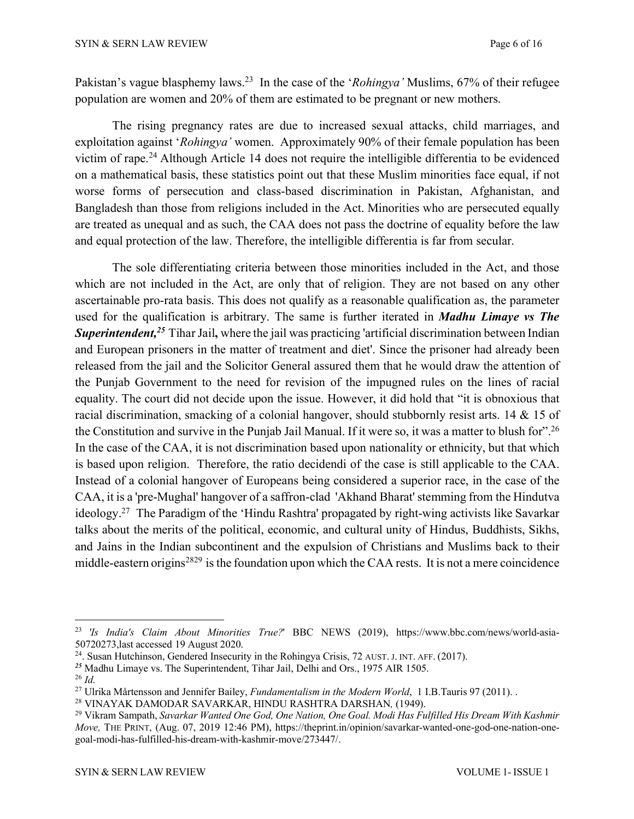Pakistan's vague blasphemy laws.23 In the case of the '*Rohingya'* Muslims, 67% of their refugee population are women and 20% of them are estimated to be pregnant or new mothers.

The rising pregnancy rates are due to increased sexual attacks, child marriages, and exploitation against '*Rohingya'* women. Approximately 90% of their female population has been victim of rape.24 Although Article 14 does not require the intelligible differentia to be evidenced on a mathematical basis, these statistics point out that these Muslim minorities face equal, if not worse forms of persecution and class-based discrimination in Pakistan, Afghanistan, and Bangladesh than those from religions included in the Act. Minorities who are persecuted equally are treated as unequal and as such, the CAA does not pass the doctrine of equality before the law and equal protection of the law. Therefore, the intelligible differentia is far from secular.

The sole differentiating criteria between those minorities included in the Act, and those which are not included in the Act, are only that of religion. They are not based on any other ascertainable pro-rata basis. This does not qualify as a reasonable qualification as, the parameter used for the qualification is arbitrary. The same is further iterated in *Madhu Limaye vs The* **Superintendent,<sup>25</sup> Tihar Jail,** where the jail was practicing 'artificial discrimination between Indian and European prisoners in the matter of treatment and diet'. Since the prisoner had already been released from the jail and the Solicitor General assured them that he would draw the attention of the Punjab Government to the need for revision of the impugned rules on the lines of racial equality. The court did not decide upon the issue. However, it did hold that "it is obnoxious that racial discrimination, smacking of a colonial hangover, should stubbornly resist arts. 14 & 15 of the Constitution and survive in the Punjab Jail Manual. If it were so, it was a matter to blush for".<sup>26</sup> In the case of the CAA, it is not discrimination based upon nationality or ethnicity, but that which is based upon religion. Therefore, the ratio decidendi of the case is still applicable to the CAA. Instead of a colonial hangover of Europeans being considered a superior race, in the case of the CAA, it is a 'pre-Mughal' hangover of a saffron-clad 'Akhand Bharat' stemming from the Hindutva ideology.27 The Paradigm of the 'Hindu Rashtra' propagated by right-wing activists like Savarkar talks about the merits of the political, economic, and cultural unity of Hindus, Buddhists, Sikhs, and Jains in the Indian subcontinent and the expulsion of Christians and Muslims back to their middle-eastern origins<sup>2829</sup> is the foundation upon which the CAA rests. It is not a mere coincidence

<sup>23</sup> *'Is India's Claim About Minorities True?*' BBC NEWS (2019), https://www.bbc.com/news/world-asia-50720273,last accessed 19 August 2020.

<sup>&</sup>lt;sup>24</sup>. Susan Hutchinson, Gendered Insecurity in the Rohingya Crisis, 72 AUST. J. INT. AFF. (2017).

*<sup>25</sup>* Madhu Limaye vs. The Superintendent, Tihar Jail, Delhi and Ors., 1975 AIR 1505.

<sup>26</sup> *Id.*

<sup>27</sup> Ulrika Mårtensson and Jennifer Bailey, *Fundamentalism in the Modern World*, 1 I.B.Tauris 97 (2011). .

<sup>28</sup> VINAYAK DAMODAR SAVARKAR, HINDU RASHTRA DARSHAN*,* (1949).

<sup>29</sup> Vikram Sampath, *Savarkar Wanted One God, One Nation, One Goal. Modi Has Fulfilled His Dream With Kashmir Move,* THE PRINT, (Aug. 07, 2019 12:46 PM), https://theprint.in/opinion/savarkar-wanted-one-god-one-nation-onegoal-modi-has-fulfilled-his-dream-with-kashmir-move/273447/.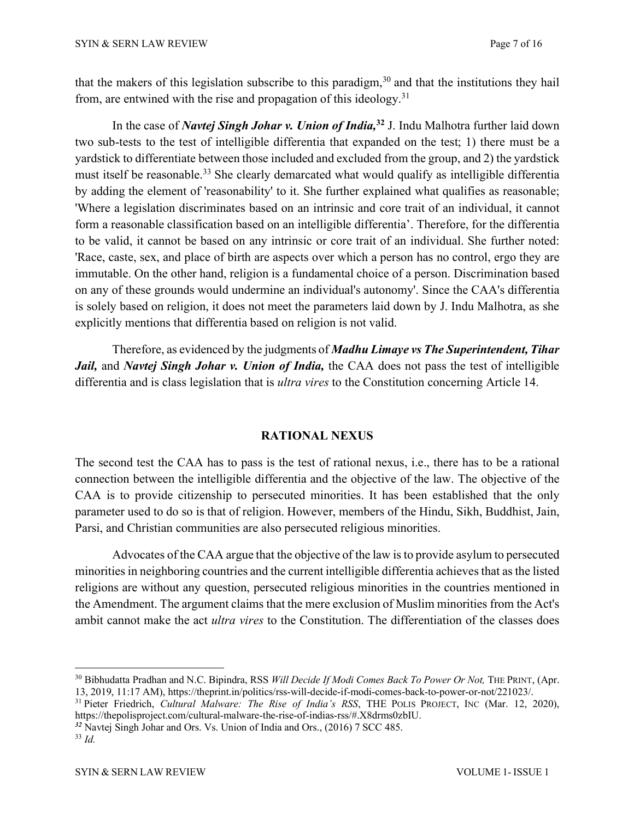that the makers of this legislation subscribe to this paradigm,  $30$  and that the institutions they hail from, are entwined with the rise and propagation of this ideology.<sup>31</sup>

In the case of *Navtej Singh Johar v. Union of India,* **<sup>32</sup>** J. Indu Malhotra further laid down two sub-tests to the test of intelligible differentia that expanded on the test; 1) there must be a yardstick to differentiate between those included and excluded from the group, and 2) the yardstick must itself be reasonable.<sup>33</sup> She clearly demarcated what would qualify as intelligible differentia by adding the element of 'reasonability' to it. She further explained what qualifies as reasonable; 'Where a legislation discriminates based on an intrinsic and core trait of an individual, it cannot form a reasonable classification based on an intelligible differentia'. Therefore, for the differentia to be valid, it cannot be based on any intrinsic or core trait of an individual. She further noted: 'Race, caste, sex, and place of birth are aspects over which a person has no control, ergo they are immutable. On the other hand, religion is a fundamental choice of a person. Discrimination based on any of these grounds would undermine an individual's autonomy'. Since the CAA's differentia is solely based on religion, it does not meet the parameters laid down by J. Indu Malhotra, as she explicitly mentions that differentia based on religion is not valid.

Therefore, as evidenced by the judgments of *Madhu Limaye vs The Superintendent, Tihar Jail,* and *Navtej Singh Johar v. Union of India,* the CAA does not pass the test of intelligible differentia and is class legislation that is *ultra vires* to the Constitution concerning Article 14.

## **RATIONAL NEXUS**

The second test the CAA has to pass is the test of rational nexus, i.e., there has to be a rational connection between the intelligible differentia and the objective of the law. The objective of the CAA is to provide citizenship to persecuted minorities. It has been established that the only parameter used to do so is that of religion. However, members of the Hindu, Sikh, Buddhist, Jain, Parsi, and Christian communities are also persecuted religious minorities.

Advocates of the CAA argue that the objective of the law is to provide asylum to persecuted minorities in neighboring countries and the current intelligible differentia achieves that as the listed religions are without any question, persecuted religious minorities in the countries mentioned in the Amendment. The argument claims that the mere exclusion of Muslim minorities from the Act's ambit cannot make the act *ultra vires* to the Constitution. The differentiation of the classes does

<sup>30</sup> Bibhudatta Pradhan and N.C. Bipindra, RSS *Will Decide If Modi Comes Back To Power Or Not,* THE PRINT, (Apr. 13, 2019, 11:17 AM), https://theprint.in/politics/rss-will-decide-if-modi-comes-back-to-power-or-not/221023/.

<sup>31</sup> Pieter Friedrich, *Cultural Malware: The Rise of India's RSS*, THE POLIS PROJECT, INC (Mar. 12, 2020), https://thepolisproject.com/cultural-malware-the-rise-of-indias-rss/#.X8drms0zbIU.

*<sup>32</sup>* Navtej Singh Johar and Ors. Vs. Union of India and Ors., (2016) 7 SCC 485.

<sup>33</sup> *Id.*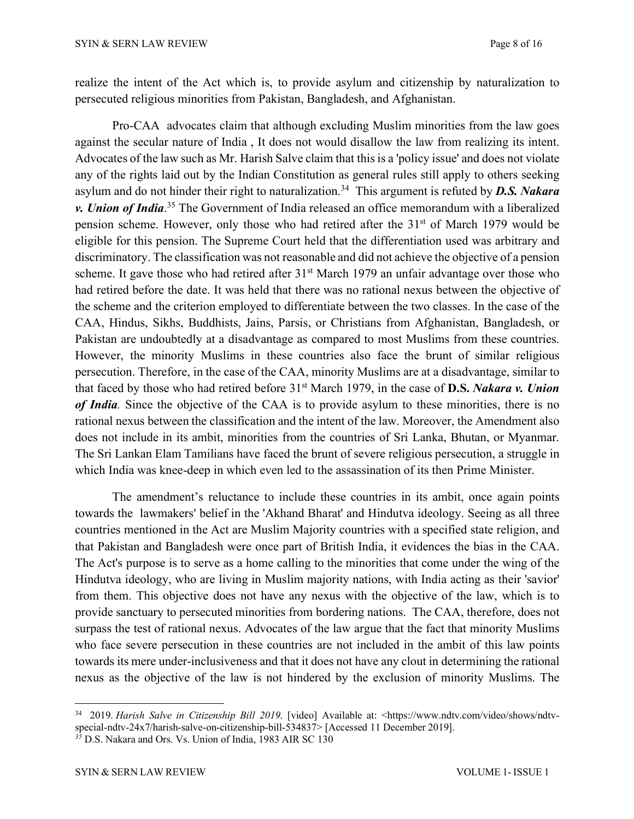realize the intent of the Act which is, to provide asylum and citizenship by naturalization to persecuted religious minorities from Pakistan, Bangladesh, and Afghanistan.

Pro-CAA advocates claim that although excluding Muslim minorities from the law goes against the secular nature of India , It does not would disallow the law from realizing its intent. Advocates of the law such as Mr. Harish Salve claim that this is a 'policy issue' and does not violate any of the rights laid out by the Indian Constitution as general rules still apply to others seeking asylum and do not hinder their right to naturalization. 34 This argument is refuted by *D.S. Nakara v. Union of India*. <sup>35</sup> The Government of India released an office memorandum with a liberalized pension scheme. However, only those who had retired after the 31<sup>st</sup> of March 1979 would be eligible for this pension. The Supreme Court held that the differentiation used was arbitrary and discriminatory. The classification was not reasonable and did not achieve the objective of a pension scheme. It gave those who had retired after  $31<sup>st</sup>$  March 1979 an unfair advantage over those who had retired before the date. It was held that there was no rational nexus between the objective of the scheme and the criterion employed to differentiate between the two classes. In the case of the CAA, Hindus, Sikhs, Buddhists, Jains, Parsis, or Christians from Afghanistan, Bangladesh, or Pakistan are undoubtedly at a disadvantage as compared to most Muslims from these countries. However, the minority Muslims in these countries also face the brunt of similar religious persecution. Therefore, in the case of the CAA, minority Muslims are at a disadvantage, similar to that faced by those who had retired before 31st March 1979, in the case of **D.S.** *Nakara v. Union of India.* Since the objective of the CAA is to provide asylum to these minorities, there is no rational nexus between the classification and the intent of the law. Moreover, the Amendment also does not include in its ambit, minorities from the countries of Sri Lanka, Bhutan, or Myanmar. The Sri Lankan Elam Tamilians have faced the brunt of severe religious persecution, a struggle in which India was knee-deep in which even led to the assassination of its then Prime Minister.

The amendment's reluctance to include these countries in its ambit, once again points towards the lawmakers' belief in the 'Akhand Bharat' and Hindutva ideology. Seeing as all three countries mentioned in the Act are Muslim Majority countries with a specified state religion, and that Pakistan and Bangladesh were once part of British India, it evidences the bias in the CAA. The Act's purpose is to serve as a home calling to the minorities that come under the wing of the Hindutva ideology, who are living in Muslim majority nations, with India acting as their 'savior' from them. This objective does not have any nexus with the objective of the law, which is to provide sanctuary to persecuted minorities from bordering nations. The CAA, therefore, does not surpass the test of rational nexus. Advocates of the law argue that the fact that minority Muslims who face severe persecution in these countries are not included in the ambit of this law points towards its mere under-inclusiveness and that it does not have any clout in determining the rational nexus as the objective of the law is not hindered by the exclusion of minority Muslims. The

<sup>34 2019.</sup> *Harish Salve in Citizenship Bill 2019*. [video] Available at: <https://www.ndtv.com/video/shows/ndtvspecial-ndtv-24x7/harish-salve-on-citizenship-bill-534837> [Accessed 11 December 2019].

<sup>&</sup>lt;sup>35</sup> D.S. Nakara and Ors. Vs. Union of India, 1983 AIR SC 130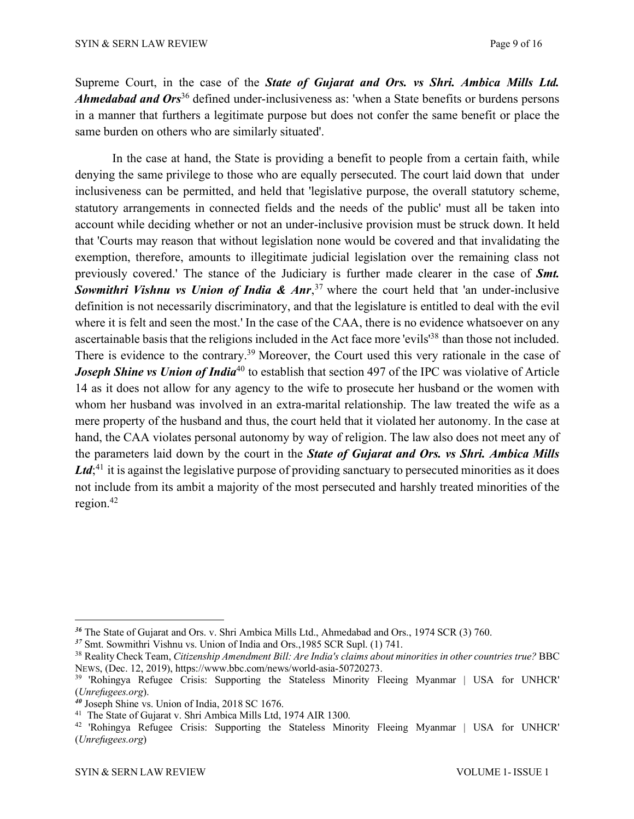Supreme Court, in the case of the *State of Gujarat and Ors. vs Shri. Ambica Mills Ltd. Ahmedabad and Ors*<sup>36</sup> defined under-inclusiveness as: 'when a State benefits or burdens persons in a manner that furthers a legitimate purpose but does not confer the same benefit or place the same burden on others who are similarly situated'.

In the case at hand, the State is providing a benefit to people from a certain faith, while denying the same privilege to those who are equally persecuted. The court laid down that under inclusiveness can be permitted, and held that 'legislative purpose, the overall statutory scheme, statutory arrangements in connected fields and the needs of the public' must all be taken into account while deciding whether or not an under-inclusive provision must be struck down. It held that 'Courts may reason that without legislation none would be covered and that invalidating the exemption, therefore, amounts to illegitimate judicial legislation over the remaining class not previously covered.' The stance of the Judiciary is further made clearer in the case of *Smt. Sowmithri Vishnu vs Union of India & Anr*, <sup>37</sup> where the court held that 'an under-inclusive definition is not necessarily discriminatory, and that the legislature is entitled to deal with the evil where it is felt and seen the most.' In the case of the CAA, there is no evidence whatsoever on any ascertainable basis that the religions included in the Act face more 'evils'<sup>38</sup> than those not included. There is evidence to the contrary.<sup>39</sup> Moreover, the Court used this very rationale in the case of *Joseph Shine vs Union of India*<sup>40</sup> to establish that section 497 of the IPC was violative of Article 14 as it does not allow for any agency to the wife to prosecute her husband or the women with whom her husband was involved in an extra-marital relationship. The law treated the wife as a mere property of the husband and thus, the court held that it violated her autonomy. In the case at hand, the CAA violates personal autonomy by way of religion. The law also does not meet any of the parameters laid down by the court in the *State of Gujarat and Ors. vs Shri. Ambica Mills* Ltd;<sup>41</sup> it is against the legislative purpose of providing sanctuary to persecuted minorities as it does not include from its ambit a majority of the most persecuted and harshly treated minorities of the region.42

*<sup>36</sup>* The State of Gujarat and Ors. v. Shri Ambica Mills Ltd., Ahmedabad and Ors., 1974 SCR (3) 760.

*<sup>37</sup>* Smt. Sowmithri Vishnu vs. Union of India and Ors.,1985 SCR Supl. (1) 741.

<sup>38</sup> Reality Check Team, *Citizenship Amendment Bill: Are India's claims about minorities in other countries true?* BBC NEWS, (Dec. 12, 2019), https://www.bbc.com/news/world-asia-50720273.

<sup>&</sup>lt;sup>39</sup> 'Rohingya Refugee Crisis: Supporting the Stateless Minority Fleeing Myanmar | USA for UNHCR' (*Unrefugees.org*).

*<sup>40</sup>* Joseph Shine vs. Union of India, 2018 SC 1676.

<sup>41</sup> The State of Gujarat v. Shri Ambica Mills Ltd, 1974 AIR 1300.

<sup>42</sup> 'Rohingya Refugee Crisis: Supporting the Stateless Minority Fleeing Myanmar | USA for UNHCR' (*Unrefugees.org*)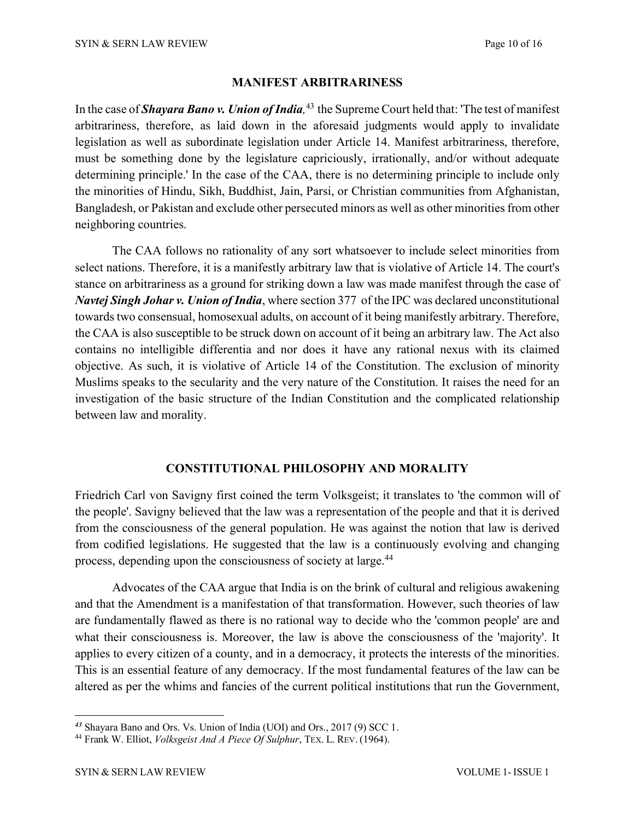#### **MANIFEST ARBITRARINESS**

In the case of *Shayara Bano v. Union ofIndia,* <sup>43</sup> the Supreme Court held that: 'The test of manifest arbitrariness, therefore, as laid down in the aforesaid judgments would apply to invalidate legislation as well as subordinate legislation under Article 14. Manifest arbitrariness, therefore, must be something done by the legislature capriciously, irrationally, and/or without adequate determining principle.' In the case of the CAA, there is no determining principle to include only the minorities of Hindu, Sikh, Buddhist, Jain, Parsi, or Christian communities from Afghanistan, Bangladesh, or Pakistan and exclude other persecuted minors as well as other minorities from other neighboring countries.

The CAA follows no rationality of any sort whatsoever to include select minorities from select nations. Therefore, it is a manifestly arbitrary law that is violative of Article 14. The court's stance on arbitrariness as a ground for striking down a law was made manifest through the case of *Navtej Singh Johar v. Union ofIndia*, where section 377 of the IPC was declared unconstitutional towards two consensual, homosexual adults, on account of it being manifestly arbitrary. Therefore, the CAA is also susceptible to be struck down on account of it being an arbitrary law. The Act also contains no intelligible differentia and nor does it have any rational nexus with its claimed objective. As such, it is violative of Article 14 of the Constitution. The exclusion of minority Muslims speaks to the secularity and the very nature of the Constitution. It raises the need for an investigation of the basic structure of the Indian Constitution and the complicated relationship between law and morality.

#### **CONSTITUTIONAL PHILOSOPHY AND MORALITY**

Friedrich Carl von Savigny first coined the term Volksgeist; it translates to 'the common will of the people'. Savigny believed that the law was a representation of the people and that it is derived from the consciousness of the general population. He was against the notion that law is derived from codified legislations. He suggested that the law is a continuously evolving and changing process, depending upon the consciousness of society at large.44

Advocates of the CAA argue that India is on the brink of cultural and religious awakening and that the Amendment is a manifestation of that transformation. However, such theories of law are fundamentally flawed as there is no rational way to decide who the 'common people' are and what their consciousness is. Moreover, the law is above the consciousness of the 'majority'. It applies to every citizen of a county, and in a democracy, it protects the interests of the minorities. This is an essential feature of any democracy. If the most fundamental features of the law can be altered as per the whims and fancies of the current political institutions that run the Government,

*<sup>43</sup>* Shayara Bano and Ors. Vs. Union of India (UOI) and Ors., <sup>2017</sup> (9) SCC 1. 44 Frank W. Elliot, *Volksgeist And <sup>A</sup> Piece Of Sulphur*, TEX. L. REV. (1964).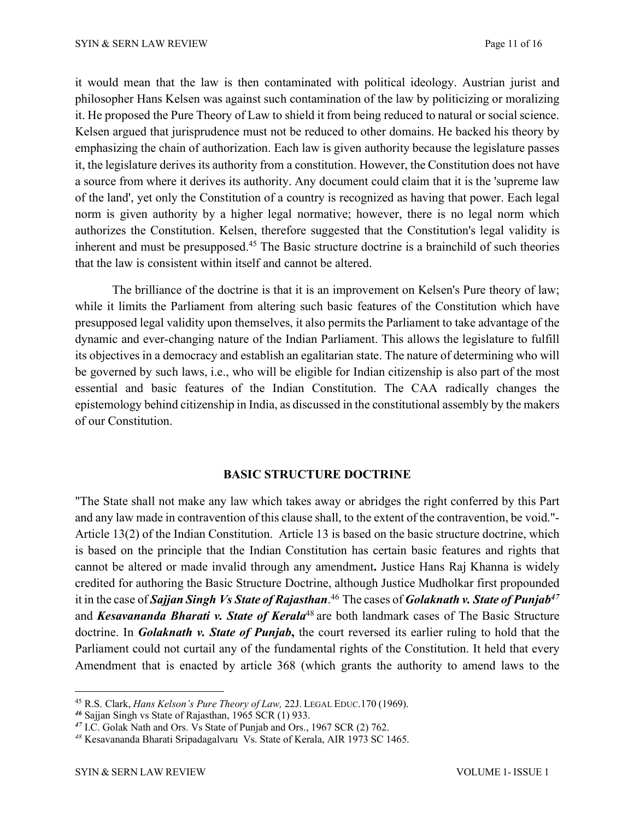it would mean that the law is then contaminated with political ideology. Austrian jurist and philosopher Hans Kelsen was against such contamination of the law by politicizing or moralizing it. He proposed the Pure Theory of Law to shield it from being reduced to natural or social science. Kelsen argued that jurisprudence must not be reduced to other domains. He backed his theory by emphasizing the chain of authorization. Each law is given authority because the legislature passes it, the legislature derives its authority from a constitution. However, the Constitution does not have a source from where it derives its authority. Any document could claim that it is the 'supreme law of the land', yet only the Constitution of a country is recognized as having that power. Each legal norm is given authority by a higher legal normative; however, there is no legal norm which authorizes the Constitution. Kelsen, therefore suggested that the Constitution's legal validity is inherent and must be presupposed.45 The Basic structure doctrine is a brainchild of such theories that the law is consistent within itself and cannot be altered.

The brilliance of the doctrine is that it is an improvement on Kelsen's Pure theory of law; while it limits the Parliament from altering such basic features of the Constitution which have presupposed legal validity upon themselves, it also permits the Parliament to take advantage of the dynamic and ever-changing nature of the Indian Parliament. This allows the legislature to fulfill its objectives in a democracy and establish an egalitarian state. The nature of determining who will be governed by such laws, i.e., who will be eligible for Indian citizenship is also part of the most essential and basic features of the Indian Constitution. The CAA radically changes the epistemology behind citizenship in India, as discussed in the constitutional assembly by the makers of our Constitution.

#### **BASIC STRUCTURE DOCTRINE**

"The State shall not make any law which takes away or abridges the right conferred by this Part and any law made in contravention of this clause shall, to the extent of the contravention, be void."- Article 13(2) of the Indian Constitution. Article 13 is based on the basic structure doctrine, which is based on the principle that the Indian Constitution has certain basic features and rights that cannot be altered or made invalid through any amendment**.** Justice Hans Raj Khanna is widely credited for authoring the Basic Structure Doctrine, although Justice Mudholkar first propounded it in the case of *Sajjan Singh Vs State of Rajasthan*. <sup>46</sup> The cases of *Golaknath v. State of Punjab47* and *Kesavananda Bharati v. State of Kerala*<sup>48</sup> are both landmark cases of The Basic Structure doctrine. In *Golaknath v. State of Punjab***,** the court reversed its earlier ruling to hold that the Parliament could not curtail any of the fundamental rights of the Constitution. It held that every Amendment that is enacted by article 368 (which grants the authority to amend laws to the

<sup>45</sup> R.S. Clark, *Hans Kelson's Pure Theory of Law,* 22J. LEGAL EDUC.170 (1969).

*<sup>46</sup>* Sajjan Singh vs State of Rajasthan, 1965 SCR (1) 933.

*<sup>47</sup>* I.C. Golak Nath and Ors. Vs State of Punjab and Ors., 1967 SCR (2) 762.

*<sup>48</sup>* Kesavananda Bharati Sripadagalvaru Vs. State of Kerala, AIR 1973 SC 1465.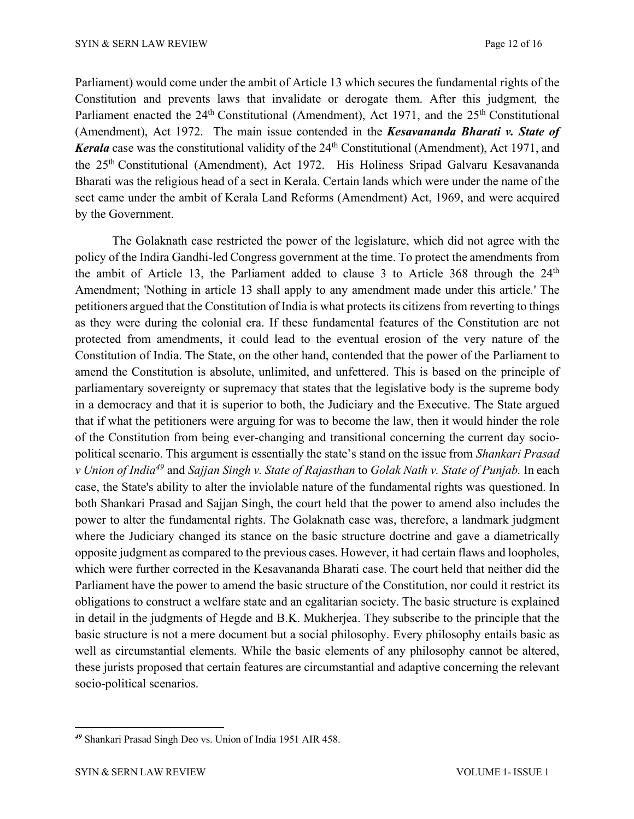Parliament) would come under the ambit of Article 13 which secures the fundamental rights of the Constitution and prevents laws that invalidate or derogate them. After this judgment*,* the Parliament enacted the 24<sup>th</sup> Constitutional (Amendment), Act 1971, and the 25<sup>th</sup> Constitutional (Amendment), Act 1972. The main issue contended in the *Kesavananda Bharati v. State of Kerala* case was the constitutional validity of the 24<sup>th</sup> Constitutional (Amendment), Act 1971, and the 25th Constitutional (Amendment), Act 1972. His Holiness Sripad Galvaru Kesavananda Bharati was the religious head of a sect in Kerala. Certain lands which were under the name of the sect came under the ambit of Kerala Land Reforms (Amendment) Act, 1969, and were acquired by the Government.

The Golaknath case restricted the power of the legislature, which did not agree with the policy of the Indira Gandhi-led Congress government at the time. To protect the amendments from the ambit of Article 13, the Parliament added to clause 3 to Article 368 through the  $24<sup>th</sup>$ Amendment; 'Nothing in article 13 shall apply to any amendment made under this article*.*' The petitioners argued that the Constitution of India is what protects its citizens from reverting to things as they were during the colonial era. If these fundamental features of the Constitution are not protected from amendments, it could lead to the eventual erosion of the very nature of the Constitution of India. The State, on the other hand, contended that the power of the Parliament to amend the Constitution is absolute, unlimited, and unfettered. This is based on the principle of parliamentary sovereignty or supremacy that states that the legislative body is the supreme body in a democracy and that it is superior to both, the Judiciary and the Executive. The State argued that if what the petitioners were arguing for was to become the law, then it would hinder the role of the Constitution from being ever-changing and transitional concerning the current day sociopolitical scenario. This argument is essentially the state's stand on the issue from *Shankari Prasad v Union of India49* and *Sajjan Singh v. State of Rajasthan* to *Golak Nath v. State of Punjab.* In each case, the State's ability to alter the inviolable nature of the fundamental rights was questioned. In both Shankari Prasad and Sajjan Singh, the court held that the power to amend also includes the power to alter the fundamental rights. The Golaknath case was, therefore, a landmark judgment where the Judiciary changed its stance on the basic structure doctrine and gave a diametrically opposite judgment as compared to the previous cases. However, it had certain flaws and loopholes, which were further corrected in the Kesavananda Bharati case. The court held that neither did the Parliament have the power to amend the basic structure of the Constitution, nor could it restrict its obligations to construct a welfare state and an egalitarian society. The basic structure is explained in detail in the judgments of Hegde and B.K. Mukherjea. They subscribe to the principle that the basic structure is not a mere document but a social philosophy. Every philosophy entails basic as well as circumstantial elements. While the basic elements of any philosophy cannot be altered, these jurists proposed that certain features are circumstantial and adaptive concerning the relevant socio-political scenarios.

*<sup>49</sup>* Shankari Prasad Singh Deo vs. Union of India 1951 AIR 458.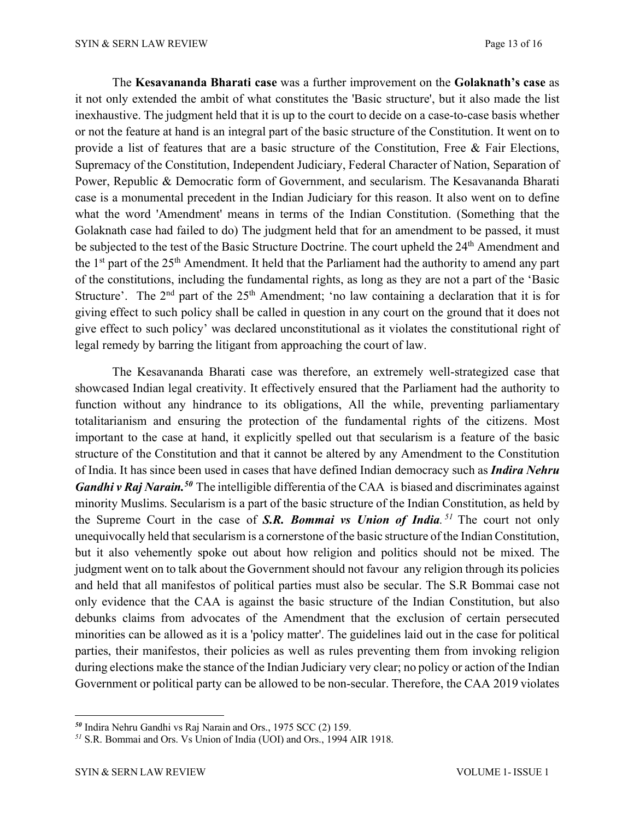The **Kesavananda Bharati case** was a further improvement on the **Golaknath's case** as it not only extended the ambit of what constitutes the 'Basic structure', but it also made the list inexhaustive. The judgment held that it is up to the court to decide on a case-to-case basis whether or not the feature at hand is an integral part of the basic structure of the Constitution. It went on to provide a list of features that are a basic structure of the Constitution, Free & Fair Elections, Supremacy of the Constitution, Independent Judiciary, Federal Character of Nation, Separation of Power, Republic & Democratic form of Government, and secularism. The Kesavananda Bharati case is a monumental precedent in the Indian Judiciary for this reason. It also went on to define what the word 'Amendment' means in terms of the Indian Constitution. (Something that the Golaknath case had failed to do) The judgment held that for an amendment to be passed, it must be subjected to the test of the Basic Structure Doctrine. The court upheld the 24<sup>th</sup> Amendment and the 1<sup>st</sup> part of the 25<sup>th</sup> Amendment. It held that the Parliament had the authority to amend any part of the constitutions, including the fundamental rights, as long as they are not a part of the 'Basic Structure'. The  $2<sup>nd</sup>$  part of the  $25<sup>th</sup>$  Amendment; 'no law containing a declaration that it is for giving effect to such policy shall be called in question in any court on the ground that it does not give effect to such policy' was declared unconstitutional as it violates the constitutional right of legal remedy by barring the litigant from approaching the court of law.

The Kesavananda Bharati case was therefore, an extremely well-strategized case that showcased Indian legal creativity. It effectively ensured that the Parliament had the authority to function without any hindrance to its obligations, All the while, preventing parliamentary totalitarianism and ensuring the protection of the fundamental rights of the citizens. Most important to the case at hand, it explicitly spelled out that secularism is a feature of the basic structure of the Constitution and that it cannot be altered by any Amendment to the Constitution of India. It has since been used in cases that have defined Indian democracy such as *Indira Nehru Gandhi v Raj Narain.50* The intelligible differentia of the CAA is biased and discriminates against minority Muslims. Secularism is a part of the basic structure of the Indian Constitution, as held by the Supreme Court in the case of *S.R. Bommai vs Union of India. <sup>51</sup>* The court not only unequivocally held that secularism is a cornerstone of the basic structure of the Indian Constitution, but it also vehemently spoke out about how religion and politics should not be mixed. The judgment went on to talk about the Government should not favour any religion through its policies and held that all manifestos of political parties must also be secular. The S.R Bommai case not only evidence that the CAA is against the basic structure of the Indian Constitution, but also debunks claims from advocates of the Amendment that the exclusion of certain persecuted minorities can be allowed as it is a 'policy matter'. The guidelines laid out in the case for political parties, their manifestos, their policies as well as rules preventing them from invoking religion during elections make the stance of the Indian Judiciary very clear; no policy or action of the Indian Government or political party can be allowed to be non-secular. Therefore, the CAA 2019 violates

*<sup>50</sup>* Indira Nehru Gandhi vs Raj Narain and Ors., 1975 SCC (2) 159.

*<sup>51</sup>* S.R. Bommai and Ors. Vs Union of India (UOI) and Ors., 1994 AIR 1918.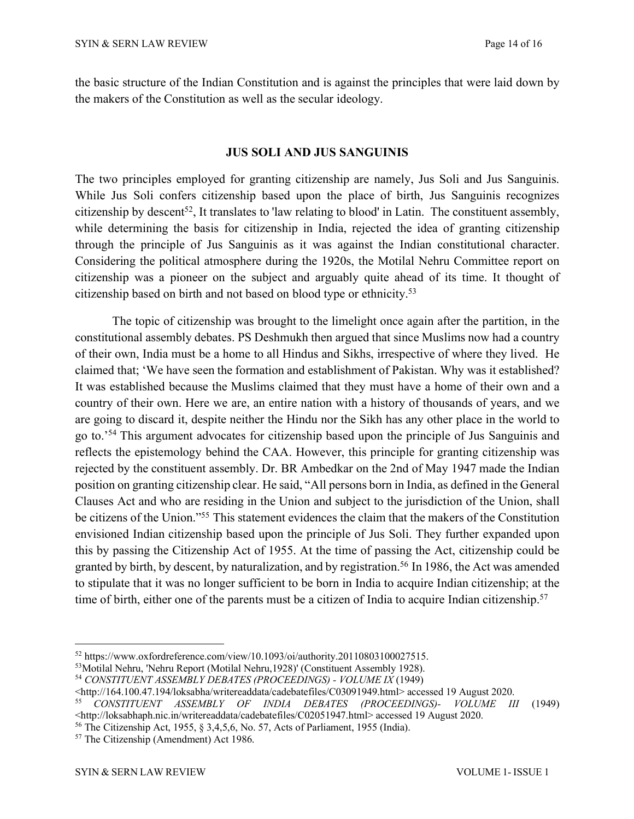the basic structure of the Indian Constitution and is against the principles that were laid down by the makers of the Constitution as well as the secular ideology.

#### **JUS SOLI AND JUS SANGUINIS**

The two principles employed for granting citizenship are namely, Jus Soli and Jus Sanguinis. While Jus Soli confers citizenship based upon the place of birth, Jus Sanguinis recognizes citizenship by descent<sup>52</sup>, It translates to 'law relating to blood' in Latin. The constituent assembly, while determining the basis for citizenship in India, rejected the idea of granting citizenship through the principle of Jus Sanguinis as it was against the Indian constitutional character. Considering the political atmosphere during the 1920s, the Motilal Nehru Committee report on citizenship was a pioneer on the subject and arguably quite ahead of its time. It thought of citizenship based on birth and not based on blood type or ethnicity. 53

The topic of citizenship was brought to the limelight once again after the partition, in the constitutional assembly debates. PS Deshmukh then argued that since Muslims now had a country of their own, India must be a home to all Hindus and Sikhs, irrespective of where they lived. He claimed that; 'We have seen the formation and establishment of Pakistan. Why was it established? It was established because the Muslims claimed that they must have a home of their own and a country of their own. Here we are, an entire nation with a history of thousands of years, and we are going to discard it, despite neither the Hindu nor the Sikh has any other place in the world to go to.'54 This argument advocates for citizenship based upon the principle of Jus Sanguinis and reflects the epistemology behind the CAA. However, this principle for granting citizenship was rejected by the constituent assembly. Dr. BR Ambedkar on the 2nd of May 1947 made the Indian position on granting citizenship clear. He said, "All persons born in India, as defined in the General Clauses Act and who are residing in the Union and subject to the jurisdiction of the Union, shall be citizens of the Union."55 This statement evidences the claim that the makers of the Constitution envisioned Indian citizenship based upon the principle of Jus Soli. They further expanded upon this by passing the Citizenship Act of 1955. At the time of passing the Act, citizenship could be granted by birth, by descent, by naturalization, and by registration.<sup>56</sup> In 1986, the Act was amended to stipulate that it was no longer sufficient to be born in India to acquire Indian citizenship; at the time of birth, either one of the parents must be a citizen of India to acquire Indian citizenship.<sup>57</sup>

<sup>52</sup> https://www.oxfordreference.com/view/10.1093/oi/authority.20110803100027515.

<sup>53</sup>Motilal Nehru, 'Nehru Report (Motilal Nehru,1928)' (Constituent Assembly 1928).

<sup>54</sup> *CONSTITUENT ASSEMBLY DEBATES (PROCEEDINGS) - VOLUME IX* (1949)

<sup>&</sup>lt;http://164.100.47.194/loksabha/writereaddata/cadebatefiles/C03091949.html> accessed 19 August 2020.

<sup>55</sup> *CONSTITUENT ASSEMBLY OF INDIA DEBATES (PROCEEDINGS)- VOLUME III* (1949) <http://loksabhaph.nic.in/writereaddata/cadebatefiles/C02051947.html> accessed 19 August 2020.

<sup>56</sup> The Citizenship Act, 1955, § 3,4,5,6, No. 57, Acts of Parliament, 1955 (India).

<sup>57</sup> The Citizenship (Amendment) Act 1986.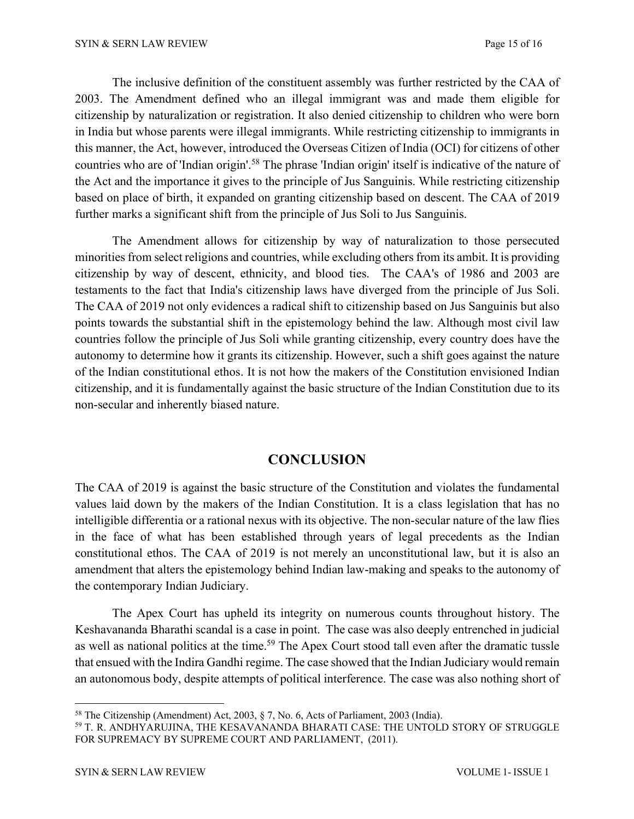The inclusive definition of the constituent assembly was further restricted by the CAA of 2003. The Amendment defined who an illegal immigrant was and made them eligible for citizenship by naturalization or registration. It also denied citizenship to children who were born in India but whose parents were illegal immigrants. While restricting citizenship to immigrants in this manner, the Act, however, introduced the Overseas Citizen of India (OCI) for citizens of other countries who are of 'Indian origin'.58 The phrase 'Indian origin' itself is indicative of the nature of the Act and the importance it gives to the principle of Jus Sanguinis. While restricting citizenship based on place of birth, it expanded on granting citizenship based on descent. The CAA of 2019 further marks a significant shift from the principle of Jus Soli to Jus Sanguinis.

The Amendment allows for citizenship by way of naturalization to those persecuted minorities from select religions and countries, while excluding others from its ambit. It is providing citizenship by way of descent, ethnicity, and blood ties. The CAA's of 1986 and 2003 are testaments to the fact that India's citizenship laws have diverged from the principle of Jus Soli. The CAA of 2019 not only evidences a radical shift to citizenship based on Jus Sanguinis but also points towards the substantial shift in the epistemology behind the law. Although most civil law countries follow the principle of Jus Soli while granting citizenship, every country does have the autonomy to determine how it grants its citizenship. However, such a shift goes against the nature of the Indian constitutional ethos. It is not how the makers of the Constitution envisioned Indian citizenship, and it is fundamentally against the basic structure of the Indian Constitution due to its non-secular and inherently biased nature.

# **CONCLUSION**

The CAA of 2019 is against the basic structure of the Constitution and violates the fundamental values laid down by the makers of the Indian Constitution. It is a class legislation that has no intelligible differentia or a rational nexus with its objective. The non-secular nature of the law flies in the face of what has been established through years of legal precedents as the Indian constitutional ethos. The CAA of 2019 is not merely an unconstitutional law, but it is also an amendment that alters the epistemology behind Indian law-making and speaks to the autonomy of the contemporary Indian Judiciary.

The Apex Court has upheld its integrity on numerous counts throughout history. The Keshavananda Bharathi scandal is a case in point. The case was also deeply entrenched in judicial as well as national politics at the time.<sup>59</sup> The Apex Court stood tall even after the dramatic tussle that ensued with the Indira Gandhi regime. The case showed that the Indian Judiciary would remain an autonomous body, despite attempts of political interference. The case was also nothing short of

<sup>58</sup> The Citizenship (Amendment) Act, 2003, § 7, No. 6, Acts of Parliament, 2003 (India).

<sup>59</sup> T. R. ANDHYARUJINA, THE KESAVANANDA BHARATI CASE: THE UNTOLD STORY OF STRUGGLE FOR SUPREMACY BY SUPREME COURT AND PARLIAMENT, (2011).